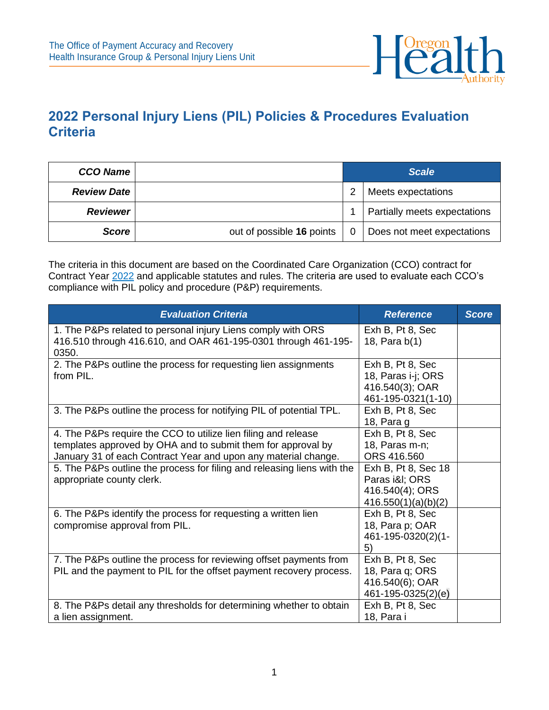

## **2022 Personal Injury Liens (PIL) Policies & Procedures Evaluation Criteria**

| <b>CCO Name</b>    |                           | <b>Scale</b> |                              |  |
|--------------------|---------------------------|--------------|------------------------------|--|
| <b>Review Date</b> |                           | っ            | Meets expectations           |  |
| <b>Reviewer</b>    |                           |              | Partially meets expectations |  |
| <b>Score</b>       | out of possible 16 points |              | Does not meet expectations   |  |

The criteria in this document are based on the Coordinated Care Organization (CCO) contract for Contract Year [2022](https://www.oregon.gov/oha/HSD/OHP/Documents/2022-CCO-Contract-Template.pdf) and applicable statutes and rules. The criteria are used to evaluate each CCO's compliance with PIL policy and procedure (P&P) requirements.

| <b>Evaluation Criteria</b>                                                                                                                                                                       | <b>Reference</b>                                                                | <b>Score</b> |
|--------------------------------------------------------------------------------------------------------------------------------------------------------------------------------------------------|---------------------------------------------------------------------------------|--------------|
| 1. The P&Ps related to personal injury Liens comply with ORS<br>416.510 through 416.610, and OAR 461-195-0301 through 461-195-<br>0350.                                                          | Exh B, Pt 8, Sec<br>18, Para b(1)                                               |              |
| 2. The P&Ps outline the process for requesting lien assignments<br>from PIL.                                                                                                                     | Exh B, Pt 8, Sec<br>18, Paras i-j; ORS<br>416.540(3); OAR<br>461-195-0321(1-10) |              |
| 3. The P&Ps outline the process for notifying PIL of potential TPL.                                                                                                                              | Exh B, Pt 8, Sec<br>18, Para g                                                  |              |
| 4. The P&Ps require the CCO to utilize lien filing and release<br>templates approved by OHA and to submit them for approval by<br>January 31 of each Contract Year and upon any material change. | Exh B, Pt 8, Sec<br>18, Paras m-n;<br>ORS 416,560                               |              |
| 5. The P&Ps outline the process for filing and releasing liens with the<br>appropriate county clerk.                                                                                             | Exh B, Pt 8, Sec 18<br>Paras i&I ORS<br>416.540(4); ORS<br>416.550(1)(a)(b)(2)  |              |
| 6. The P&Ps identify the process for requesting a written lien<br>compromise approval from PIL.                                                                                                  | Exh B, Pt 8, Sec<br>18, Para p; OAR<br>461-195-0320(2)(1-<br>5)                 |              |
| 7. The P&Ps outline the process for reviewing offset payments from<br>PIL and the payment to PIL for the offset payment recovery process.                                                        | Exh B, Pt 8, Sec<br>18, Para q; ORS<br>416.540(6); OAR<br>461-195-0325(2)(e)    |              |
| 8. The P&Ps detail any thresholds for determining whether to obtain<br>a lien assignment.                                                                                                        | Exh B, Pt 8, Sec<br>18, Para i                                                  |              |